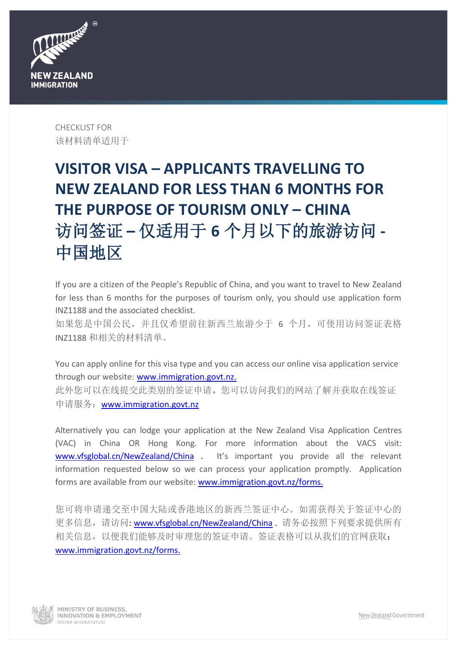

CHECKLIST FOR 该材料清单适用于

## **VISITOR VISA – APPLICANTS TRAVELLING TO NEW ZEALAND FOR LESS THAN 6 MONTHS FOR THE PURPOSE OF TOURISM ONLY – CHINA** 访问签证 **–** 仅适用于 **6** 个月以下的旅游访问 **-** 中国地区

If you are a citizen of the People's Republic of China, and you want to travel to New Zealand for less than 6 months for the purposes of tourism only, you should use application form INZ1188 and the associated checklist.

如果您是中国公民,并且仅希望前往新西兰旅游少于 6 个月,可使用访问签证表格 INZ1188 和相关的材料清单。

You can apply online for this visa type and you can access our online visa application service through our website: [www.immigration.govt.nz.](http://www.immigration.govt.nz/) 此外您可以在线提交此类别的签证申请。您可以访问我们的网站了解并获取在线签证 申请服务:[www.immigration.govt.nz](http://www.immigration.govt.nz/)

Alternatively you can lodge your application at the New Zealand Visa Application Centres (VAC) in China OR Hong Kong. For more information about the VACS visit: [www.vfsglobal.cn/NewZealand/China](http://www.vfsglobal.cn/NewZealand/China/) . It's important you provide all the relevant information requested below so we can process your application promptly. Application forms are available from our website: [www.immigration.govt.nz/forms.](http://www.immigration.govt.nz/forms)

您可将申请递交至中国大陆或香港地区的新西兰签证中心。如需获得关于签证中心的 更多信息,请访问: [www.vfsglobal.cn/NewZealand/China](http://www.vfsglobal.cn/NewZealand/China/) . 请务必按照下列要求提供所有 相关信息,以便我们能够及时审理您的签证申请。签证表格可以从我们的官网获取: [www.immigration.govt.nz/forms.](http://www.immigration.govt.nz/forms)

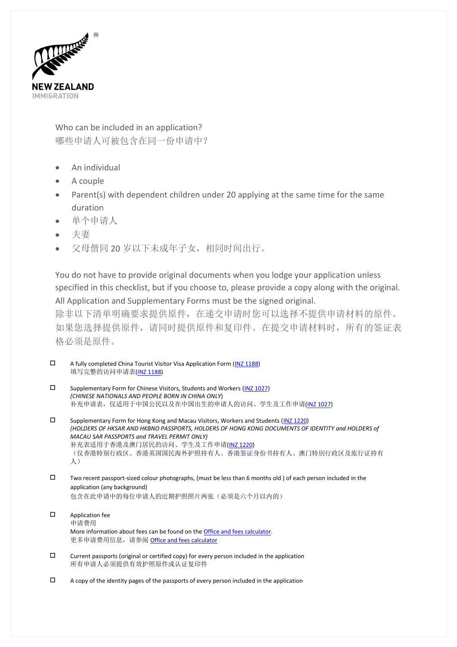

Who can be included in an application? 哪些申请人可被包含在同一份申请中?

- An individual
- A couple
- Parent(s) with dependent children under 20 applying at the same time for the same duration
- 单个申请人
- 夫妻
- 父母偕同 20 岁以下未成年子女,相同时间出行。

You do not have to provide original documents when you lodge your application unless specified in this checklist, but if you choose to, please provide a copy along with the original. All Application and Supplementary Forms must be the signed original.

除非以下清单明确要求提供原件,在递交申请时您可以选择不提供申请材料的原件。 如果您选择提供原件,请同时提供原件和复印件。在提交申请材料时,所有的签证表 格必须是原件。

- $\square$  A fully completed China Tourist Visitor Visa Application Form [\(INZ 1188\)](https://www.immigration.govt.nz/documents/forms-and-guides/inz1188.pdf) 填写完整的访问申请表[\(INZ 1188\)](https://www.immigration.govt.nz/documents/forms-and-guides/inz1188.pdf)
- Supplementary Form for Chinese Visitors, Students and Workers [\(INZ 1027\)](https://www.immigration.govt.nz/new-zealand-visas/apply-for-a-visa/tools-and-information/forms-and-guides/resolveuid/278e4bbeae0e4feeaf4182a99bb208d0) *(CHINESE NATIONALS AND PEOPLE BORN IN CHINA ONLY*) 补充申请表,仅适用于中国公民以及在中国出生的申请人的访问、学生及工作申请[\(INZ 1027\)](https://www.immigration.govt.nz/new-zealand-visas/apply-for-a-visa/tools-and-information/forms-and-guides/resolveuid/278e4bbeae0e4feeaf4182a99bb208d0)
- $\square$  Supplementary Form for Hong Kong and Macau Visitors, Workers and Students [\(INZ 1220\)](https://www.immigration.govt.nz/new-zealand-visas/apply-for-a-visa/tools-and-information/forms-and-guides/resolveuid/6bfce1d163664b48bf8b4268b16362d2) *(HOLDERS OF HKSAR AND HKBNO PASSPORTS, HOLDERS OF HONG KONG DOCUMENTS OF IDENTITY and HOLDERS of MACAU SAR PASSPORTS and TRAVEL PERMIT ONLY)* 补充表适用于香港及澳门居民的访问、学生及工作申请[\(INZ 1220\)](https://www.immigration.govt.nz/new-zealand-visas/apply-for-a-visa/tools-and-information/forms-and-guides/resolveuid/6bfce1d163664b48bf8b4268b16362d2) (仅香港特别行政区、香港英国国民海外护照持有人、香港签证身份书持有人、澳门特別行政区及旅行证持有 人)

 Two recent passport-sized colour photographs, (must be less than 6 months old ) of each person included in the application (any background) 包含在此申请中的每位申请人的近期护照照片两张(必须是六个月以内的)

- Application fee 申请费用 More information about fees can be found on the **Office and fees calculator**. 更多申请费用信息,请参阅 [Office and fees calculator](https://www.immigration.govt.nz/new-zealand-visas/apply-for-a-visa/tools-and-information/tools/office-and-fees-finder)
- $\square$  Current passports (original or certified copy) for every person included in the application 所有申请人必须提供有效护照原件或认证复印件
- $\square$  A copy of the identity pages of the passports of every person included in the application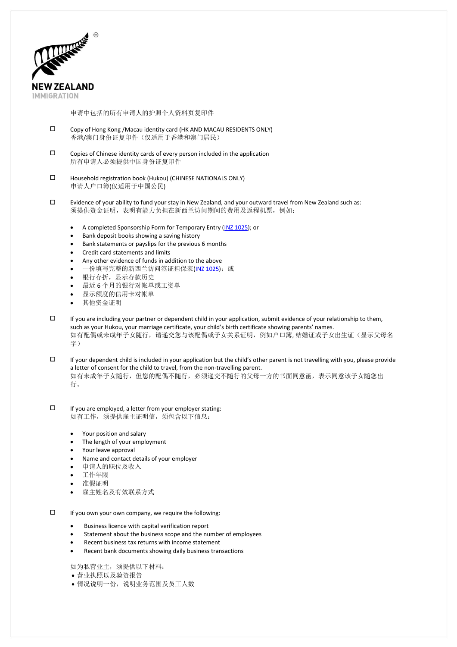

申请中包括的所有申请人的护照个人资料页复印件

- Copy of Hong Kong /Macau identity card (HK AND MACAU RESIDENTS ONLY) 香港/澳门身份证复印件(仅适用于香港和澳门居民)
- $\square$  Copies of Chinese identity cards of every person included in the application 所有申请人必须提供中国身份证复印件
- Household registration book (Hukou) (CHINESE NATIONALS ONLY) 申请人户口簿(仅适用于中国公民)
- $\square$  Evidence of your ability to fund your stay in New Zealand, and your outward travel from New Zealand such as: 须提供资金证明,表明有能力负担在新西兰访问期间的费用及返程机票,例如:
	- A completed Sponsorship Form for Temporary Entry [\(INZ 1025\)](https://www.immigration.govt.nz/documents/forms-and-guides/inz1025.pdf); or
	- Bank deposit books showing a saving history
	- Bank statements or payslips for the previous 6 months
	- Credit card statements and limits
	- Any other evidence of funds in addition to the above
	- 一份填写完整的新西兰访问签证担保表[\(INZ 1025\)](https://www.immigration.govt.nz/documents/forms-and-guides/inz1025.pdf); 或
	- 银行存折,显示存款历史
	- 最近 6 个月的银行对帐单或工资单
	- 显示额度的信用卡对帐单
	- 其他资金证明
- $\square$  If you are including your partner or dependent child in your application, submit evidence of your relationship to them, such as your Hukou, your marriage certificate, your child's birth certificate showing parents' names. 如有配偶或未成年子女随行,请递交您与该配偶或子女关系证明,例如户口簿, 结婚证或子女出生证(显示父母名 字)
- $\Box$  If your dependent child is included in your application but the child's other parent is not travelling with you, please provide a letter of consent for the child to travel, from the non-travelling parent. 如有未成年子女随行,但您的配偶不随行,必须递交不随行的父母一方的书面同意函,表示同意该子女随您出 行。
- $\square$  If you are employed, a letter from your employer stating: 如有工作,须提供雇主证明信,须包含以下信息:
	- Your position and salary
	- The length of your employment
	- Your leave approval
	- Name and contact details of your employer
	- 申请人的职位及收入
	- 工作年限
	- 准假证明
	- 雇主姓名及有效联系方式
- $\Box$  If you own your own company, we require the following:
	- Business licence with capital verification report
	- Statement about the business scope and the number of employees
	- Recent business tax returns with income statement
	- Recent bank documents showing daily business transactions

如为私营业主,须提供以下材料:

营业执照以及验资报告

情况说明一份,说明业务范围及员工人数